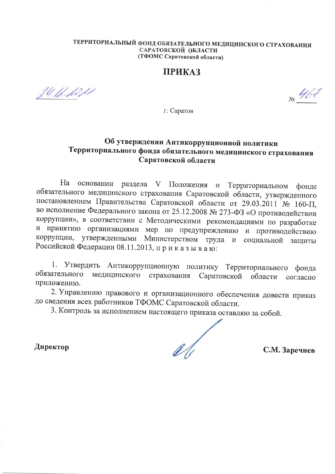#### ТЕРРИТОРИАЛЬНЫЙ ФОНД ОБЯЗАТЕЛЬНОГО МЕДИЦИНСКОГО СТРАХОВАНИЯ САРАТОВСКОЙ ОБЛАСТИ (ТФОМС Саратовской области)

#### **ПРИКАЗ**

24.12.2021

 $N_{\rm e}$  467

г. Саратов

#### Об утверждении Антикоррупционной политики Территориального фонда обязательного медицинского страхования Саратовской области

основании раздела V Положения о Территориальном фонде  $Ha$ обязательного медицинского страхования Саратовской области, утвержденного постановлением Правительства Саратовской области от 29.03.2011 № 160-П, во исполнение Федерального закона от 25.12.2008 № 273-ФЗ «О противодействии коррупции», в соответствии с Методическими рекомендациями по разработке и принятию организациями мер по предупреждению и противодействию коррупции, утвержденными Министерством труда и социальной защиты Российской Федерации 08.11.2013, приказываю:

1. Утвердить Антикоррупционную политику Территориального фонда медицинского страхования обязательного Саратовской области согласно приложению.

2. Управлению правового и организационного обеспечения довести приказ до сведения всех работников ТФОМС Саратовской области.

3. Контроль за исполнением настоящего приказа оставляю за собой.

Директор

С.М. Заречнев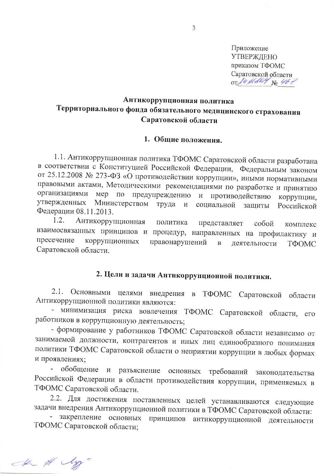Приложение **УТВЕРЖДЕНО** приказом ТФОМС Саратовской области OT 14 Holly No 46;

#### Антикоррупционная политика Территориального фонда обязательного медицинского страхования Саратовской области

#### 1. Общие положения.

1.1. Антикоррупционная политика ТФОМС Саратовской области разработана в соответствии с Конституцией Российской Федерации, Федеральным законом от 25.12.2008 № 273-ФЗ «О противодействии коррупции», иными нормативными правовыми актами, Методическими рекомендациями по разработке и принятию организациями мер по предупреждению и противодействию коррупции, утвержденных Министерством труда  $\overline{\mathbf{M}}$ социальной Российской защиты Федерации 08.11.2013.

 $1.2.$ Антикоррупционная политика представляет собой комплекс взаимосвязанных принципов и процедур, направленных на профилактику и пресечение коррупционных правонарушений  $\overline{B}$ деятельности ТФОМС Саратовской области.

## 2. Цели и задачи Антикоррупционной политики.

2.1. Основными целями внедрения в ТФОМС Саратовской области Антикоррупционной политики являются:

- минимизация риска вовлечения ТФОМС Саратовской области, его работников в коррупционную деятельность;

- формирование у работников ТФОМС Саратовской области независимо от занимаемой должности, контрагентов и иных лиц единообразного понимания политики ТФОМС Саратовской области о неприятии коррупции в любых формах и проявлениях;

обобщение и разъяснение основных требований законодательства Российской Федерации в области противодействия коррупции, применяемых в ТФОМС Саратовской области.

2.2. Для достижения поставленных целей устанавливаются следующие задачи внедрения Антикоррупционной политики в ТФОМС Саратовской области:

закрепление основных принципов антикоррупционной деятельности ТФОМС Саратовской области;

the # My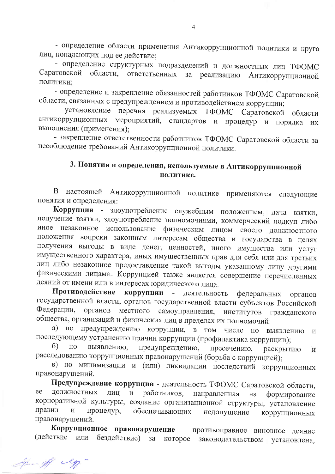- определение области применения Антикоррупционной политики и круга лиц, попадающих под ее действие;

- определение структурных подразделений и должностных лиц ТФОМС Саратовской области, ответственных за реализацию Антикоррупционной политики;

- определение и закрепление обязанностей работников ТФОМС Саратовской области, связанных с предупреждением и противодействием коррупции;

установление перечня реализуемых ТФОМС Саратовской области антикоррупционных мероприятий, стандартов и процедур и порядка их выполнения (применения);

- закрепление ответственности работников ТФОМС Саратовской области за несоблюдение требований Антикоррупционной политики.

### 3. Понятия и определения, используемые в Антикоррупционной политике.

настоящей Антикоррупционной политике применяются следующие B. понятия и определения:

Коррупция - злоупотребление служебным положением, дача взятки, получение взятки, злоупотребление полномочиями, коммерческий подкуп либо иное незаконное использование физическим лицом своего должностного положения вопреки законным интересам общества и государства в целях получения выгоды в виде денег, ценностей, иного имущества или услуг имущественного характера, иных имущественных прав для себя или для третьих лиц либо незаконное предоставление такой выгоды указанному лицу другими физическими лицами. Коррупцией также является совершение перечисленных деяний от имени или в интересах юридического лица.

Противодействие коррупции - деятельность федеральных органов государственной власти, органов государственной власти субъектов Российской органов местного самоуправления, Федерации, институтов гражданского общества, организаций и физических лиц в пределах их полномочий:

а) по предупреждению коррупции, в том числе по выявлению  $\boldsymbol{\mathit{M}}$ последующему устранению причин коррупции (профилактика коррупции);

 $\sigma$ )  $\Pi{\rm O}$ выявлению, предупреждению, пресечению, раскрытию  $\overline{M}$ расследованию коррупционных правонарушений (борьба с коррупцией);

в) по минимизации и (или) ликвидации последствий коррупционных правонарушений.

Предупреждение коррупции - деятельность ТФОМС Саратовской области, ee должностных работников, лиц направленная на формирование корпоративной культуры, создание организационной структуры, установление правил обеспечивающих процедур, недопущение коррупционных правонарушений.

Коррупционное правонарушение - противоправное виновное деяние или бездействие) за (действие которое законодательством установлена,

If My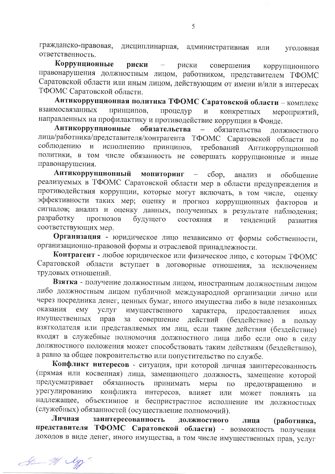гражданско-правовая, дисциплинарная, административная или уголовная ответственность.

Коррупционные риски риски совершения коррупционного правонарушения должностным лицом, работником, представителем ТФОМС Саратовской области или иным лицом, действующим от имени и/или в интересах ТФОМС Саратовской области.

Антикоррупционная политика ТФОМС Саратовской области - комплекс взаимосвязанных принципов, процедур конкретных мероприятий. направленных на профилактику и противодействие коррупции в Фонде.

Антикоррупционные обязательства обязательства ДОЛЖНОСТНОГО лица/работника/представителя/контрагента ТФОМС Саратовской области по соблюдению  $\mathbf{H}$ исполнению принципов, требований Антикоррупционной политики, в том числе обязанность не совершать коррупционные и иные правонарушения.

Антикоррупционный мониторинг сбор,  $\alpha \rightarrow \beta \gamma$ обобщение анализ  $\, {\rm M}$ реализуемых в ТФОМС Саратовской области мер в области предупреждения и противодействия коррупции, которые могут включать, в том числе, оценку эффективности таких мер; оценку и прогноз коррупционных факторов и сигналов; анализ и оценку данных, полученных в результате наблюдения; разработку прогнозов будущего состояния  $\overline{M}$ тенденций развития соответствующих мер.

Организация - юридическое лицо независимо от формы собственности, организационно-правовой формы и отраслевой принадлежности.

Контрагент - любое юридическое или физическое лицо, с которым ТФОМС Саратовской области вступает в договорные отношения, за исключением трудовых отношений.

Взятка - получение должностным лицом, иностранным должностным лицом либо должностным лицом публичной международной организации лично или через посредника денег, ценных бумаг, иного имущества либо в виде незаконных оказания emy услуг имущественного характера, предоставления иных имущественных прав за совершение действий (бездействие)  $\mathbf{B}$ пользу взяткодателя или представляемых им лиц, если такие действия (бездействие) входят в служебные полномочия должностного лица либо если оно в силу должностного положения может способствовать таким действиям (бездействию), а равно за общее покровительство или попустительство по службе.

Конфликт интересов - ситуация, при которой личная заинтересованность (прямая или косвенная) лица, замещающего должность, замещение которой предусматривает обязанность принимать меры  $\Pi{\rm O}$ предотвращению  $\overline{M}$ урегулированию конфликта интересов, влияет или может ПОВЛИЯТЬ на надлежащее, объективное и беспристрастное исполнение им должностных (служебных) обязанностей (осуществление полномочий).

Личная заинтересованность должностного лица (работника, представителя ТФОМС Саратовской области) - возможность получения доходов в виде денег, иного имущества, в том числе имущественных прав, услуг

Is af ly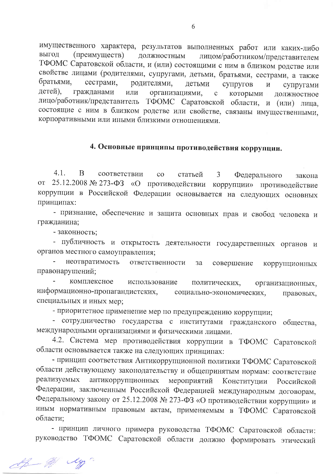имущественного характера, результатов выполненных работ или каких-либо выгод (преимуществ) должностным лицом/работником/представителем ТФОМС Саратовской области, и (или) состоящими с ним в близком родстве или свойстве лицами (родителями, супругами, детьми, братьями, сестрами, а также братьями, сестрами, родителями, детьми супругов  $\overline{M}$ супругами детей), гражданами организациями, или которыми  $\mathbf{C}$ должностное лицо/работник/представитель ТФОМС Саратовской области, и (или) лица, состоящие с ним в близком родстве или свойстве, связаны имущественными, корпоративными или иными близкими отношениями.

## 4. Основные принципы противодействия коррупции.

 $4.1.$ B соответствии статьей  $\rm{CO}$  $\mathfrak{Z}$ Федерального закона от 25.12.2008 № 273-ФЗ «О противодействии коррупции» противодействие коррупции в Российской Федерации основывается на следующих основных принципах:

- признание, обеспечение и защита основных прав и свобод человека и гражданина;

- законность:

- публичность и открытость деятельности государственных органов и органов местного самоуправления;

неотвратимость ответственности за совершение коррупционных правонарушений;

комплексное использование политических. организационных, информационно-пропагандистских, социально-экономических, правовых, специальных и иных мер;

- приоритетное применение мер по предупреждению коррупции;

- сотрудничество государства с институтами гражданского общества, международными организациями и физическими лицами.

4.2. Система мер противодействия коррупции в ТФОМС Саратовской области основывается также на следующих принципах:

- принцип соответствия Антикоррупционной политики ТФОМС Саратовской области действующему законодательству и общепринятым нормам: соответствие реализуемых антикоррупционных мероприятий Конституции Российской Федерации, заключенным Российской Федерацией международным договорам, Федеральному закону от 25.12.2008 № 273-ФЗ «О противодействии коррупции» и иным нормативным правовым актам, применяемым в ТФОМС Саратовской области;

- принцип личного примера руководства ТФОМС Саратовской области: руководство ТФОМС Саратовской области должно формировать этический

Af My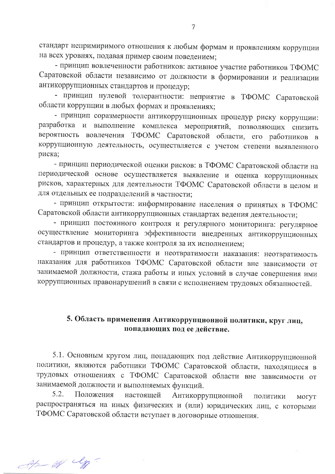стандарт непримиримого отношения к любым формам и проявлениям коррупции на всех уровнях, подавая пример своим поведением;

- принцип вовлеченности работников: активное участие работников ТФОМС Саратовской области независимо от должности в формировании и реализации антикоррупционных стандартов и процедур;

- принцип нулевой толерантности: неприятие в ТФОМС Саратовской области коррупции в любых формах и проявлениях;

- принцип соразмерности антикоррупционных процедур риску коррупции: разработка и выполнение комплекса мероприятий, позволяющих снизить вероятность вовлечения ТФОМС Саратовской области, его работников в коррупционную деятельность, осуществляется с учетом степени выявленного риска;

- принцип периодической оценки рисков: в ТФОМС Саратовской области на периодической основе осуществляется выявление и оценка коррупционных рисков, характерных для деятельности ТФОМС Саратовской области в целом и для отдельных ее подразделений в частности;

- принцип открытости: информирование населения о принятых в ТФОМС Саратовской области антикоррупционных стандартах ведения деятельности;

- принцип постоянного контроля и регулярного мониторинга: регулярное осуществление мониторинга эффективности внедренных антикоррупционных стандартов и процедур, а также контроля за их исполнением;

- принцип ответственности и неотвратимости наказания: неотвратимость наказания для работников ТФОМС Саратовской области вне зависимости от занимаемой должности, стажа работы и иных условий в случае совершения ими коррупционных правонарушений в связи с исполнением трудовых обязанностей.

#### 5. Область применения Антикоррупционной политики, круг лиц, попадающих под ее действие.

5.1. Основным кругом лиц, попадающих под действие Антикоррупционной политики, являются работники ТФОМС Саратовской области, находящиеся в трудовых отношениях с ТФОМС Саратовской области вне зависимости от занимаемой должности и выполняемых функций.

 $5.2.$ Положения настоящей Антикоррупционной ПОЛИТИКИ МОГУТ распространяться на иных физических и (или) юридических лиц, с которыми ТФОМС Саратовской области вступает в договорные отношения.

Ap us ly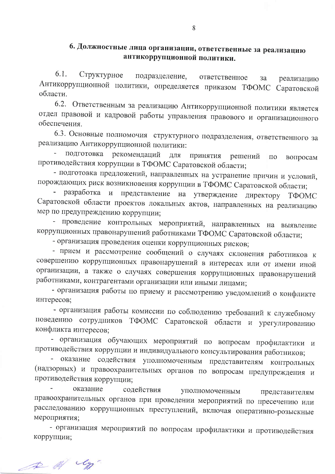### 6. Должностные лица организации, ответственные за реализацию антикоррупционной политики.

6.1. Структурное подразделение, ответственное за реализацию Антикоррупционной политики, определяется приказом ТФОМС Саратовской области.

6.2. Ответственным за реализацию Антикоррупционной политики является отдел правовой и кадровой работы управления правового и организационного обеспечения.

6.3. Основные полномочия структурного подразделения, ответственного за реализацию Антикоррупционной политики:

подготовка рекомендаций ДЛЯ принятия решений  $\Pi{\rm O}$ вопросам противодействия коррупции в ТФОМС Саратовской области;

- подготовка предложений, направленных на устранение причин и условий, порождающих риск возникновения коррупции в ТФОМС Саратовской области;

разработка и представление на утверждение директору ТФОМС Саратовской области проектов локальных актов, направленных на реализацию мер по предупреждению коррупции;

- проведение контрольных мероприятий, направленных на выявление коррупционных правонарушений работниками ТФОМС Саратовской области;

- организация проведения оценки коррупционных рисков;

- прием и рассмотрение сообщений о случаях склонения работников к совершению коррупционных правонарушений в интересах или от имени иной организации, а также о случаях совершения коррупционных правонарушений работниками, контрагентами организации или иными лицами;

- организация работы по приему и рассмотрению уведомлений о конфликте интересов;

- организация работы комиссии по соблюдению требований к служебному поведению сотрудников ТФОМС Саратовской области и урегулированию конфликта интересов;

- организация обучающих мероприятий по вопросам профилактики и противодействия коррупции и индивидуального консультирования работников;

- оказание содействия уполномоченным представителям контрольных (надзорных) и правоохранительных органов по вопросам предупреждения и противодействия коррупции;

оказание содействия уполномоченным представителям правоохранительных органов при проведении мероприятий по пресечению или расследованию коррупционных преступлений, включая оперативно-розыскные мероприятия;

- организация мероприятий по вопросам профилактики и противодействия коррупции;

A of y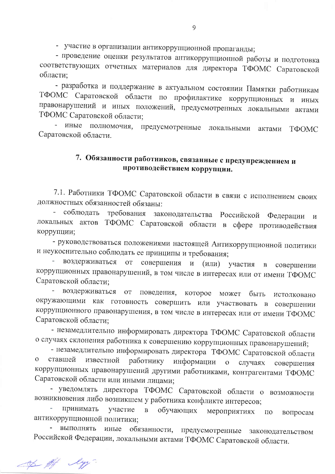- участие в организации антикоррупционной пропаганды;

- проведение оценки результатов антикоррупционной работы и подготовка соответствующих отчетных материалов для директора ТФОМС Саратовской области;

- разработка и поддержание в актуальном состоянии Памятки работникам ТФОМС Саратовской области по профилактике коррупционных и иных правонарушений и иных положений, предусмотренных локальными актами ТФОМС Саратовской области;

- иные полномочия, предусмотренные локальными ТФОМС актами Саратовской области.

## 7. Обязанности работников, связанные с предупреждением и противодействием коррупции.

7.1. Работники ТФОМС Саратовской области в связи с исполнением своих должностных обязанностей обязаны:

соблюдать требования законодательства Российской Федерации  $\,$  M локальных актов ТФОМС Саратовской области в сфере противодействия коррупции;

- руководствоваться положениями настоящей Антикоррупционной политики и неукоснительно соблюдать ее принципы и требования;

воздерживаться от совершения и (или) участия  $\mathbf{B}$ совершении коррупционных правонарушений, в том числе в интересах или от имени ТФОМС Саратовской области;

воздерживаться от поведения, которое может быть истолковано окружающими как готовность совершить или участвовать в совершении коррупционного правонарушения, в том числе в интересах или от имени ТФОМС Саратовской области;

- незамедлительно информировать директора ТФОМС Саратовской области о случаях склонения работника к совершению коррупционных правонарушений;

- незамедлительно информировать директора ТФОМС Саратовской области работнику информации  $\mathbf{O}$ ставшей известной о случаях совершения коррупционных правонарушений другими работниками, контрагентами ТФОМС Саратовской области или иными лицами;

- уведомлять директора ТФОМС Саратовской области о возможности возникновения либо возникшем у работника конфликте интересов;

принимать L, участие  $\mathbf{B}$ обучающих мероприятиях  $\Pi$ O вопросам антикоррупционной политики;

выполнять иные обязанности, предусмотренные законодательством Российской Федерации, локальными актами ТФОМС Саратовской области.

of of ly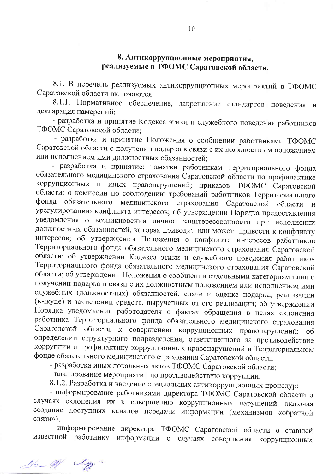### 8. Антикоррупционные мероприятия, реализуемые в ТФОМС Саратовской области.

8.1. В перечень реализуемых антикоррупционных мероприятий в ТФОМС Саратовской области включаются:

8.1.1. Нормативное обеспечение, закрепление стандартов поведения и декларация намерений:

- разработка и принятие Кодекса этики и служебного поведения работников ТФОМС Саратовской области;

- разработка и принятие Положения о сообщении работниками ТФОМС Саратовской области о получении подарка в связи с их должностным положением или исполнением ими должностных обязанностей;

- разработка и принятие: памятки работникам Территориального фонда обязательного медицинского страхования Саратовской области по профилактике коррупционных и иных правонарушений; приказов ТФОМС Саратовской области: о комиссии по соблюдению требований работников Территориального фонда обязательного медицинского страхования Саратовской области  $\mathbf{M}$ урегулированию конфликта интересов; об утверждении Порядка предоставления уведомления о возникновении личной заинтересованности при исполнении должностных обязанностей, которая приводит или может привести к конфликту интересов; об утверждении Положения о конфликте интересов работников Территориального фонда обязательного медицинского страхования Саратовской области; об утверждении Кодекса этики и служебного поведения работников Территориального фонда обязательного медицинского страхования Саратовской области; об утверждении Положения о сообщении отдельными категориями лиц о получении подарка в связи с их должностным положением или исполнением ими служебных (должностных) обязанностей, сдаче и оценке подарка, реализации (выкупе) и зачислении средств, вырученных от его реализации; об утверждении Порядка уведомления работодателя о фактах обращения в целях склонения работника Территориального фонда обязательного медицинского страхования Саратовской области к совершению коррупционных правонарушений;  $\overline{00}$ определении структурного подразделения, ответственного за противодействие коррупции и профилактику коррупционных правонарушений в Территориальном фонде обязательного медицинского страхования Саратовской области.

- разработка иных локальных актов ТФОМС Саратовской области;

- планирование мероприятий по противодействию коррупции.

8.1.2. Разработка и введение специальных антикоррупционных процедур:

- информирование работниками директора ТФОМС Саратовской области о случаях склонения их к совершению коррупционных нарушений, включая создание доступных каналов передачи информации (механизмов «обратной связи»);

- информирование директора ТФОМС Саратовской области о ставшей известной работнику информации о случаях совершения коррупционных

He W Un-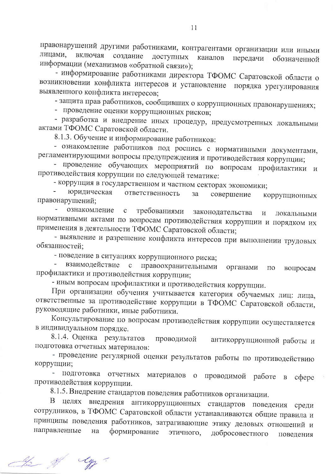правонарушений другими работниками, контрагентами организации или иными лицами, включая создание доступных каналов передачи обозначенной информации (механизмов «обратной связи»);

- информирование работниками директора ТФОМС Саратовской области о возникновении конфликта интересов и установление порядка урегулирования выявленного конфликта интересов;

- защита прав работников, сообщивших о коррупционных правонарушениях;

- проведение оценки коррупционных рисков;

- разработка и внедрение иных процедур, предусмотренных локальными актами ТФОМС Саратовской области.

8.1.3. Обучение и информирование работников:

- ознакомление работников под роспись с нормативными документами, регламентирующими вопросы предупреждения и противодействия коррупции;

- проведение обучающих мероприятий по вопросам профилактики и противодействия коррупции по следующей тематике:

- коррупция в государственном и частном секторах экономики;

юридическая ответственность совершение за коррупционных правонарушений:

ознакомление  $\sim$ требованиями  $\mathbf{c}$ законодательства  $\mathbf{M}$ локальными нормативными актами по вопросам противодействия коррупции и порядком их применения в деятельности ТФОМС Саратовской области;

- выявление и разрешение конфликта интересов при выполнении трудовых обязанностей;

- поведение в ситуациях коррупционного риска;

взаимодействие правоохранительными  $\mathbf{C}$ органами  $\Pi{\rm O}$ вопросам профилактики и противодействия коррупции;

- иным вопросам профилактики и противодействия коррупции.

При организации обучения учитывается категория обучаемых лиц: лица, ответственные за противодействие коррупции в ТФОМС Саратовской области, руководящие работники, иные работники.

Консультирование по вопросам противодействия коррупции осуществляется в индивидуальном порядке.

8.1.4. Оценка результатов проводимой антикоррупционной работы и подготовка отчетных материалов:

- проведение регулярной оценки результатов работы по противодействию коррупции;

- подготовка отчетных материалов о проводимой работе в coepe противодействия коррупции.

8.1.5. Внедрение стандартов поведения работников организации.

В целях внедрения антикоррупционных стандартов поведения среди сотрудников, в ТФОМС Саратовской области устанавливаются общие правила и принципы поведения работников, затрагивающие этику деловых отношений и направленные на формирование добросовестного этичного, поведения

If My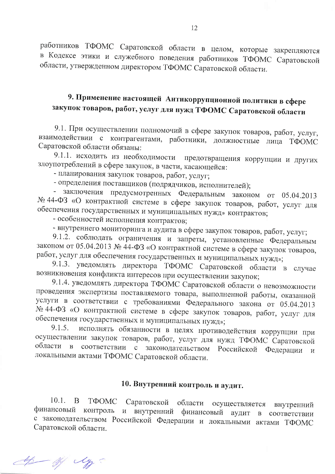работников ТФОМС Саратовской области в целом, которые закрепляются в Кодексе этики и служебного поведения работников ТФОМС Саратовской области, утвержденном директором ТФОМС Саратовской области.

# 9. Применение настоящей Антикоррупционной политики в сфере закупок товаров, работ, услуг для нужд ТФОМС Саратовской области

9.1. При осуществлении полномочий в сфере закупок товаров, работ, услуг, взаимодействии с контрагентами, работники, должностные лица ТФОМС Саратовской области обязаны:

9.1.1. исходить из необходимости предотвращения коррупции и других злоупотреблений в сфере закупок, в части, касающейся:

- планирования закупок товаров, работ, услуг;

- определения поставщиков (подрядчиков, исполнителей);

- заключения предусмотренных Федеральным законом от 05.04.2013 № 44-ФЗ «О контрактной системе в сфере закупок товаров, работ, услуг для обеспечения государственных и муниципальных нужд» контрактов;

- особенностей исполнения контрактов;

- внутреннего мониторинга и аудита в сфере закупок товаров, работ, услуг;

9.1.2. соблюдать ограничения и запреты, установленные Федеральным законом от 05.04.2013 № 44-ФЗ «О контрактной системе в сфере закупок товаров, работ, услуг для обеспечения государственных и муниципальных нужд»;

9.1.3. уведомлять директора ТФОМС Саратовской области в случае возникновения конфликта интересов при осуществлении закупок;

9.1.4. уведомлять директора ТФОМС Саратовской области о невозможности проведения экспертизы поставляемого товара, выполненной работы, оказанной услуги в соответствии с требованиями Федерального закона от 05.04.2013 № 44-ФЗ «О контрактной системе в сфере закупок товаров, работ, услуг для обеспечения государственных и муниципальных нужд»;

исполнять обязанности в целях противодействия коррупции при 9.1.5. осуществлении закупок товаров, работ, услуг для нужд ТФОМС Саратовской области в соответствии с законодательством Российской Федерации  $\overline{M}$ локальными актами ТФОМС Саратовской области.

# 10. Внутренний контроль и аудит.

 $10.1.$ B ТФОМС Саратовской области осуществляется внутренний финансовый контроль и внутренний финансовый аудит в соответствии с законодательством Российской Федерации и локальными актами ТФОМС Саратовской области.

de of y